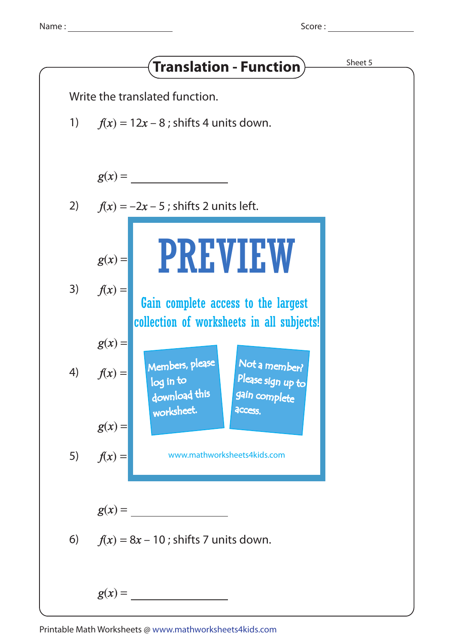